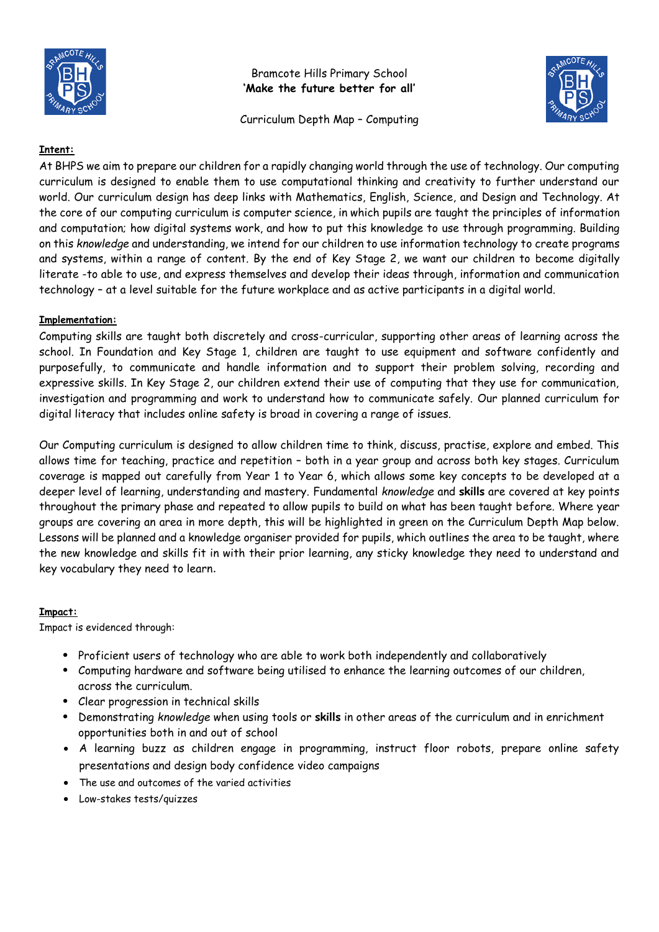

Bramcote Hills Primary School **'Make the future better for all'**

Curriculum Depth Map – Computing



### **Intent:**

At BHPS we aim to prepare our children for a rapidly changing world through the use of technology. Our computing curriculum is designed to enable them to use computational thinking and creativity to further understand our world. Our curriculum design has deep links with Mathematics, English, Science, and Design and Technology. At the core of our computing curriculum is computer science, in which pupils are taught the principles of information and computation; how digital systems work, and how to put this knowledge to use through programming. Building on this *knowledge* and understanding, we intend for our children to use information technology to create programs and systems, within a range of content. By the end of Key Stage 2, we want our children to become digitally literate -to able to use, and express themselves and develop their ideas through, information and communication technology – at a level suitable for the future workplace and as active participants in a digital world.

### **Implementation:**

Computing skills are taught both discretely and cross-curricular, supporting other areas of learning across the school. In Foundation and Key Stage 1, children are taught to use equipment and software confidently and purposefully, to communicate and handle information and to support their problem solving, recording and expressive skills. In Key Stage 2, our children extend their use of computing that they use for communication, investigation and programming and work to understand how to communicate safely. Our planned curriculum for digital literacy that includes online safety is broad in covering a range of issues.

Our Computing curriculum is designed to allow children time to think, discuss, practise, explore and embed. This allows time for teaching, practice and repetition – both in a year group and across both key stages. Curriculum coverage is mapped out carefully from Year 1 to Year 6, which allows some key concepts to be developed at a deeper level of learning, understanding and mastery. Fundamental *knowledge* and **skills** are covered at key points throughout the primary phase and repeated to allow pupils to build on what has been taught before. Where year groups are covering an area in more depth, this will be highlighted in green on the Curriculum Depth Map below. Lessons will be planned and a knowledge organiser provided for pupils, which outlines the area to be taught, where the new knowledge and skills fit in with their prior learning, any sticky knowledge they need to understand and key vocabulary they need to learn.

#### **Impact:**

Impact is evidenced through:

- Proficient users of technology who are able to work both independently and collaboratively
- Computing hardware and software being utilised to enhance the learning outcomes of our children, across the curriculum.
- Clear progression in technical skills
- Demonstrating *knowledge* when using tools or **skills** in other areas of the curriculum and in enrichment opportunities both in and out of school
- A learning buzz as children engage in programming, instruct floor robots, prepare online safety presentations and design body confidence video campaigns
- The use and outcomes of the varied activities
- Low-stakes tests/quizzes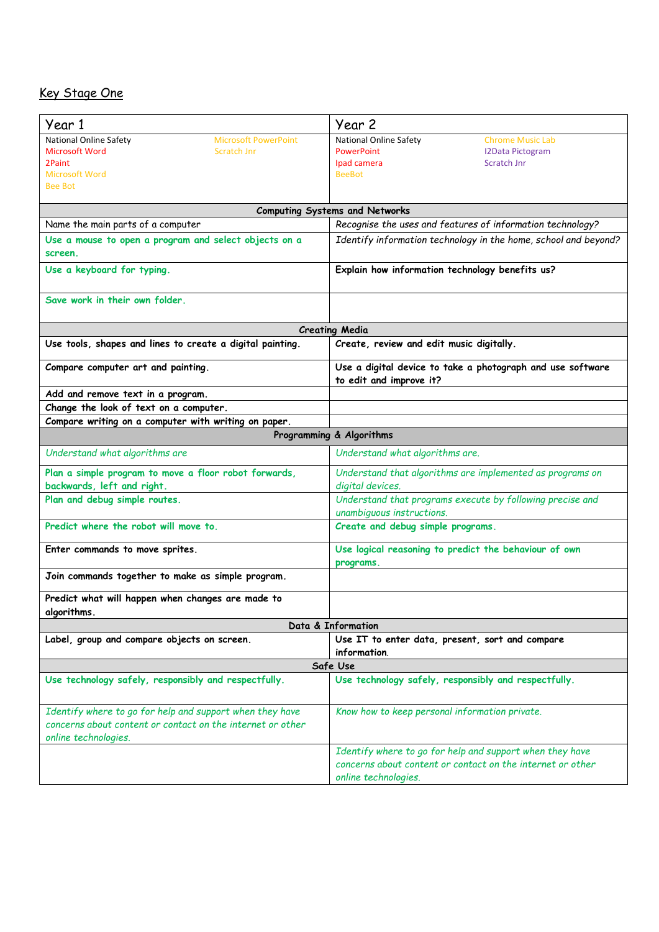### Key Stage One

| Year 1                                                                                                                                         | Year 2                                                                                                                                           |
|------------------------------------------------------------------------------------------------------------------------------------------------|--------------------------------------------------------------------------------------------------------------------------------------------------|
| National Online Safety<br><b>Microsoft PowerPoint</b><br>Microsoft Word<br><b>Scratch Jnr</b><br>2Paint<br><b>Microsoft Word</b>               | National Online Safety<br><b>Chrome Music Lab</b><br><b>PowerPoint</b><br><b>I2Data Pictogram</b><br>Ipad camera<br>Scratch Jnr<br><b>BeeBot</b> |
| <b>Bee Bot</b>                                                                                                                                 |                                                                                                                                                  |
|                                                                                                                                                | <b>Computing Systems and Networks</b>                                                                                                            |
| Name the main parts of a computer                                                                                                              | Recognise the uses and features of information technology?                                                                                       |
| Use a mouse to open a program and select objects on a<br>screen.                                                                               | Identify information technology in the home, school and beyond?                                                                                  |
| Use a keyboard for typing.                                                                                                                     | Explain how information technology benefits us?                                                                                                  |
| Save work in their own folder.                                                                                                                 |                                                                                                                                                  |
|                                                                                                                                                | <b>Creating Media</b>                                                                                                                            |
| Use tools, shapes and lines to create a digital painting.                                                                                      | Create, review and edit music digitally.                                                                                                         |
| Compare computer art and painting.                                                                                                             | Use a digital device to take a photograph and use software<br>to edit and improve it?                                                            |
| Add and remove text in a program.                                                                                                              |                                                                                                                                                  |
| Change the look of text on a computer.                                                                                                         |                                                                                                                                                  |
| Compare writing on a computer with writing on paper.                                                                                           |                                                                                                                                                  |
|                                                                                                                                                | Programming & Algorithms                                                                                                                         |
| Understand what algorithms are                                                                                                                 | Understand what algorithms are.                                                                                                                  |
| Plan a simple program to move a floor robot forwards,<br>backwards, left and right.                                                            | Understand that algorithms are implemented as programs on<br>digital devices.                                                                    |
| Plan and debug simple routes.                                                                                                                  | Understand that programs execute by following precise and<br>unambiguous instructions.                                                           |
| Predict where the robot will move to.                                                                                                          | Create and debug simple programs.                                                                                                                |
| Enter commands to move sprites.                                                                                                                | Use logical reasoning to predict the behaviour of own<br>programs.                                                                               |
| Join commands together to make as simple program.                                                                                              |                                                                                                                                                  |
| Predict what will happen when changes are made to<br>algorithms.                                                                               |                                                                                                                                                  |
|                                                                                                                                                | Data & Information                                                                                                                               |
| Label, group and compare objects on screen.                                                                                                    | Use IT to enter data, present, sort and compare<br>information.                                                                                  |
|                                                                                                                                                | Safe Use                                                                                                                                         |
| Use technology safely, responsibly and respectfully.                                                                                           | Use technology safely, responsibly and respectfully.                                                                                             |
| Identify where to go for help and support when they have<br>concerns about content or contact on the internet or other<br>online technologies. | Know how to keep personal information private.                                                                                                   |
|                                                                                                                                                | Identify where to go for help and support when they have<br>concerns about content or contact on the internet or other<br>online technologies.   |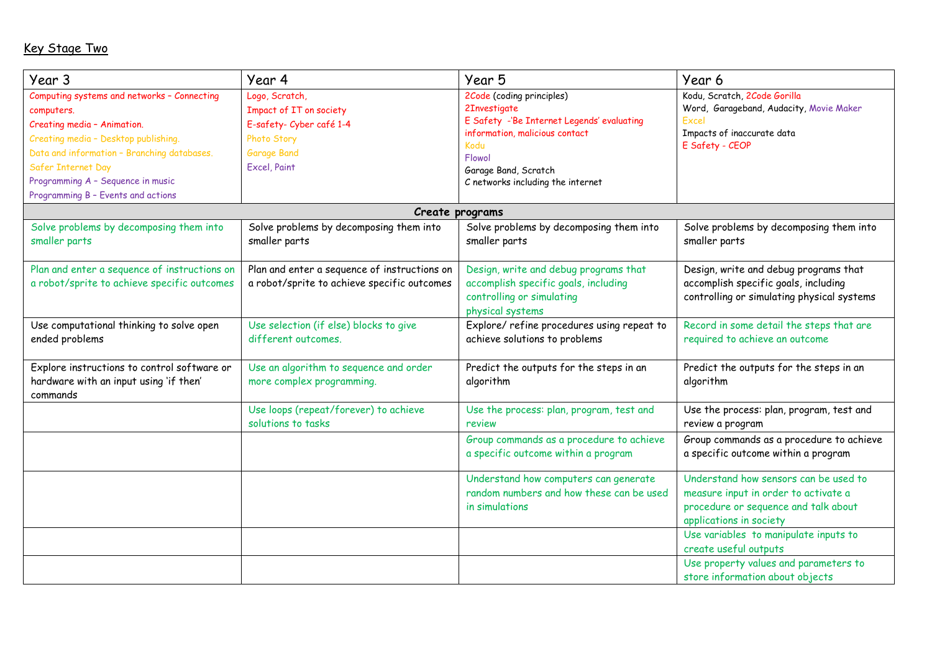# Key Stage Two

| Year 3                                       | Year 4                                                        | Year 5                                     | Year 6                                        |
|----------------------------------------------|---------------------------------------------------------------|--------------------------------------------|-----------------------------------------------|
| Computing systems and networks - Connecting  | Logo, Scratch,                                                | 2Code (coding principles)                  | Kodu, Scratch, 2Code Gorilla                  |
| computers.                                   | Impact of IT on society                                       | 2Investigate                               | Word, Garageband, Audacity, Movie Maker       |
| Creating media - Animation.                  | E-safety- Cyber café 1-4                                      | E Safety -'Be Internet Legends' evaluating | Excel                                         |
| Creating media - Desktop publishing.         | Photo Story                                                   | information, malicious contact<br>Kodu     | Impacts of inaccurate data<br>E Safety - CEOP |
| Data and information - Branching databases.  | <b>Garage Band</b>                                            | Flowol                                     |                                               |
| Safer Internet Day                           | Excel, Paint                                                  | Garage Band, Scratch                       |                                               |
| Programming A - Sequence in music            |                                                               | C networks including the internet          |                                               |
| Programming B - Events and actions           |                                                               |                                            |                                               |
|                                              |                                                               | Create programs                            |                                               |
| Solve problems by decomposing them into      | Solve problems by decomposing them into                       | Solve problems by decomposing them into    | Solve problems by decomposing them into       |
| smaller parts                                | smaller parts                                                 | smaller parts                              | smaller parts                                 |
|                                              |                                                               |                                            |                                               |
| Plan and enter a sequence of instructions on | Plan and enter a sequence of instructions on                  | Design, write and debug programs that      | Design, write and debug programs that         |
| a robot/sprite to achieve specific outcomes  | a robot/sprite to achieve specific outcomes                   | accomplish specific goals, including       | accomplish specific goals, including          |
|                                              |                                                               | controlling or simulating                  | controlling or simulating physical systems    |
|                                              |                                                               | physical systems                           |                                               |
| Use computational thinking to solve open     | Use selection (if else) blocks to give<br>different outcomes. | Explore/ refine procedures using repeat to | Record in some detail the steps that are      |
| ended problems                               |                                                               | achieve solutions to problems              | required to achieve an outcome                |
| Explore instructions to control software or  | Use an algorithm to sequence and order                        | Predict the outputs for the steps in an    | Predict the outputs for the steps in an       |
| hardware with an input using 'if then'       | more complex programming.                                     | algorithm                                  | algorithm                                     |
| commands                                     |                                                               |                                            |                                               |
|                                              | Use loops (repeat/forever) to achieve                         | Use the process: plan, program, test and   | Use the process: plan, program, test and      |
|                                              | solutions to tasks                                            | review                                     | review a program                              |
|                                              |                                                               | Group commands as a procedure to achieve   | Group commands as a procedure to achieve      |
|                                              |                                                               | a specific outcome within a program        | a specific outcome within a program           |
|                                              |                                                               | Understand how computers can generate      | Understand how sensors can be used to         |
|                                              |                                                               | random numbers and how these can be used   | measure input in order to activate a          |
|                                              |                                                               | in simulations                             | procedure or sequence and talk about          |
|                                              |                                                               |                                            | applications in society                       |
|                                              |                                                               |                                            | Use variables to manipulate inputs to         |
|                                              |                                                               |                                            | create useful outputs                         |
|                                              |                                                               |                                            | Use property values and parameters to         |
|                                              |                                                               |                                            | store information about objects               |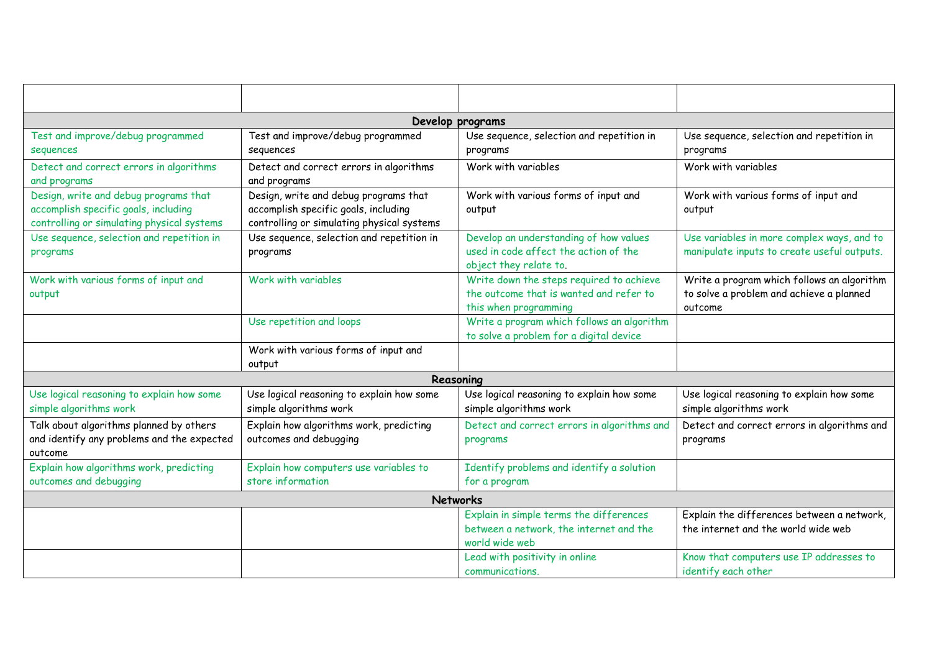|                                                                                                                             |                                                                                                                             | Develop programs                                                                                             |                                                                                                   |
|-----------------------------------------------------------------------------------------------------------------------------|-----------------------------------------------------------------------------------------------------------------------------|--------------------------------------------------------------------------------------------------------------|---------------------------------------------------------------------------------------------------|
| Test and improve/debug programmed<br>sequences                                                                              | Test and improve/debug programmed<br>sequences                                                                              | Use sequence, selection and repetition in<br>programs                                                        | Use sequence, selection and repetition in<br>programs                                             |
| Detect and correct errors in algorithms<br>and programs                                                                     | Detect and correct errors in algorithms<br>and programs                                                                     | Work with variables                                                                                          | Work with variables                                                                               |
| Design, write and debug programs that<br>accomplish specific goals, including<br>controlling or simulating physical systems | Design, write and debug programs that<br>accomplish specific goals, including<br>controlling or simulating physical systems | Work with various forms of input and<br>output                                                               | Work with various forms of input and<br>output                                                    |
| Use sequence, selection and repetition in<br>programs                                                                       | Use sequence, selection and repetition in<br>programs                                                                       | Develop an understanding of how values<br>used in code affect the action of the<br>object they relate to.    | Use variables in more complex ways, and to<br>manipulate inputs to create useful outputs.         |
| Work with various forms of input and<br>output                                                                              | Work with variables                                                                                                         | Write down the steps required to achieve<br>the outcome that is wanted and refer to<br>this when programming | Write a program which follows an algorithm<br>to solve a problem and achieve a planned<br>outcome |
|                                                                                                                             | Use repetition and loops                                                                                                    | Write a program which follows an algorithm<br>to solve a problem for a digital device                        |                                                                                                   |
|                                                                                                                             | Work with various forms of input and<br>output                                                                              |                                                                                                              |                                                                                                   |
|                                                                                                                             |                                                                                                                             | Reasoning                                                                                                    |                                                                                                   |
| Use logical reasoning to explain how some<br>simple algorithms work                                                         | Use logical reasoning to explain how some<br>simple algorithms work                                                         | Use logical reasoning to explain how some<br>simple algorithms work                                          | Use logical reasoning to explain how some<br>simple algorithms work                               |
| Talk about algorithms planned by others<br>and identify any problems and the expected<br>outcome                            | Explain how algorithms work, predicting<br>outcomes and debugging                                                           | Detect and correct errors in algorithms and<br>programs                                                      | Detect and correct errors in algorithms and<br>programs                                           |
| Explain how algorithms work, predicting<br>outcomes and debugging                                                           | Explain how computers use variables to<br>store information                                                                 | Identify problems and identify a solution<br>for a program                                                   |                                                                                                   |
|                                                                                                                             |                                                                                                                             | <b>Networks</b>                                                                                              |                                                                                                   |
|                                                                                                                             |                                                                                                                             | Explain in simple terms the differences<br>between a network, the internet and the<br>world wide web         | Explain the differences between a network,<br>the internet and the world wide web                 |
|                                                                                                                             |                                                                                                                             | Lead with positivity in online<br>communications.                                                            | Know that computers use IP addresses to<br>identify each other                                    |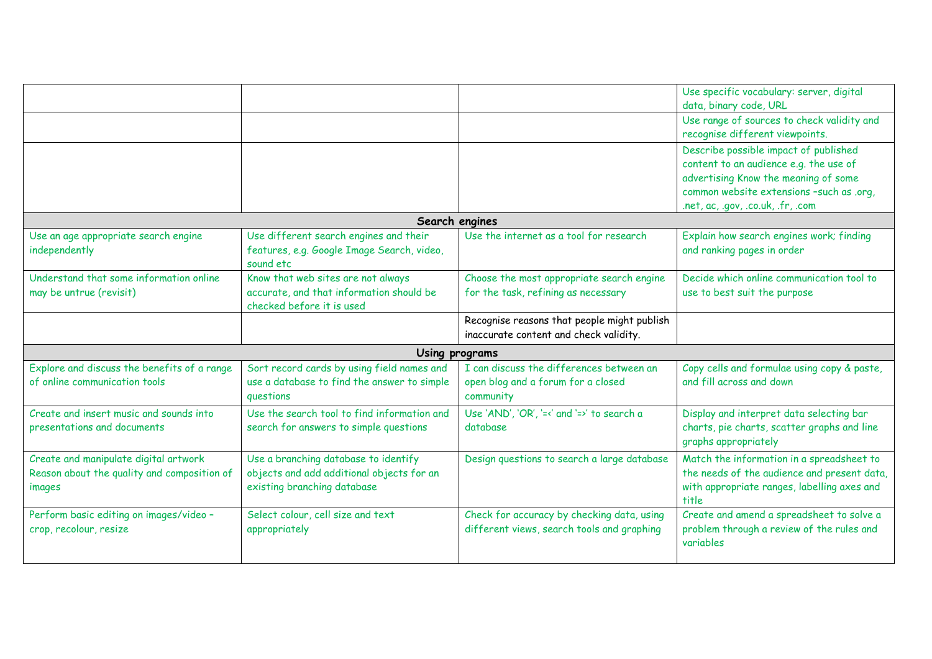|                                             |                                             |                                             | Use specific vocabulary: server, digital    |
|---------------------------------------------|---------------------------------------------|---------------------------------------------|---------------------------------------------|
|                                             |                                             |                                             | data, binary code, URL                      |
|                                             |                                             |                                             | Use range of sources to check validity and  |
|                                             |                                             |                                             | recognise different viewpoints.             |
|                                             |                                             |                                             | Describe possible impact of published       |
|                                             |                                             |                                             | content to an audience e.g. the use of      |
|                                             |                                             |                                             | advertising Know the meaning of some        |
|                                             |                                             |                                             | common website extensions -such as .org,    |
|                                             |                                             |                                             | .net, ac, .gov, .co.uk, .fr, .com           |
|                                             |                                             | Search engines                              |                                             |
| Use an age appropriate search engine        | Use different search engines and their      | Use the internet as a tool for research     | Explain how search engines work; finding    |
| independently                               | features, e.g. Google Image Search, video,  |                                             | and ranking pages in order                  |
|                                             | sound etc                                   |                                             |                                             |
| Understand that some information online     | Know that web sites are not always          | Choose the most appropriate search engine   | Decide which online communication tool to   |
| may be untrue (revisit)                     | accurate, and that information should be    | for the task, refining as necessary         | use to best suit the purpose                |
|                                             | checked before it is used                   |                                             |                                             |
|                                             |                                             | Recognise reasons that people might publish |                                             |
|                                             |                                             | inaccurate content and check validity.      |                                             |
|                                             | Using programs                              |                                             |                                             |
| Explore and discuss the benefits of a range | Sort record cards by using field names and  | I can discuss the differences between an    | Copy cells and formulae using copy & paste, |
| of online communication tools               | use a database to find the answer to simple | open blog and a forum for a closed          | and fill across and down                    |
|                                             | questions                                   | community                                   |                                             |
| Create and insert music and sounds into     | Use the search tool to find information and | Use 'AND', 'OR', '=<' and '=>' to search a  | Display and interpret data selecting bar    |
| presentations and documents                 | search for answers to simple questions      | database                                    | charts, pie charts, scatter graphs and line |
|                                             |                                             |                                             | graphs appropriately                        |
| Create and manipulate digital artwork       | Use a branching database to identify        | Design questions to search a large database | Match the information in a spreadsheet to   |
| Reason about the quality and composition of | objects and add additional objects for an   |                                             | the needs of the audience and present data, |
| images                                      | existing branching database                 |                                             | with appropriate ranges, labelling axes and |
|                                             |                                             |                                             | title                                       |
| Perform basic editing on images/video -     | Select colour, cell size and text           | Check for accuracy by checking data, using  | Create and amend a spreadsheet to solve a   |
| crop, recolour, resize                      | appropriately                               | different views, search tools and graphing  | problem through a review of the rules and   |
|                                             |                                             |                                             | variables                                   |
|                                             |                                             |                                             |                                             |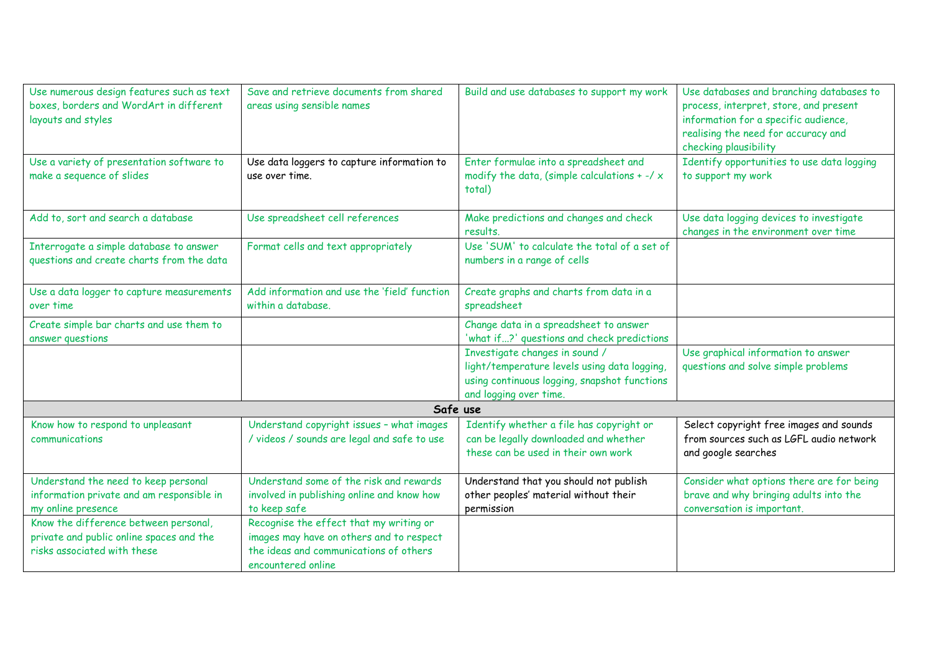| Use numerous design features such as text<br>boxes, borders and WordArt in different<br>layouts and styles                  | Save and retrieve documents from shared<br>areas using sensible names                                                                                                     | Build and use databases to support my work                                                                                                               | Use databases and branching databases to<br>process, interpret, store, and present<br>information for a specific audience,<br>realising the need for accuracy and<br>checking plausibility |  |  |
|-----------------------------------------------------------------------------------------------------------------------------|---------------------------------------------------------------------------------------------------------------------------------------------------------------------------|----------------------------------------------------------------------------------------------------------------------------------------------------------|--------------------------------------------------------------------------------------------------------------------------------------------------------------------------------------------|--|--|
| Use a variety of presentation software to<br>make a sequence of slides                                                      | Enter formulae into a spreadsheet and<br>Use data loggers to capture information to<br>modify the data, (simple calculations + $-$ / $\times$<br>use over time.<br>total) |                                                                                                                                                          | Identify opportunities to use data logging<br>to support my work                                                                                                                           |  |  |
| Add to, sort and search a database                                                                                          | Use spreadsheet cell references                                                                                                                                           | Make predictions and changes and check<br>results.                                                                                                       | Use data logging devices to investigate<br>changes in the environment over time                                                                                                            |  |  |
| Interrogate a simple database to answer<br>Format cells and text appropriately<br>questions and create charts from the data |                                                                                                                                                                           | Use 'SUM' to calculate the total of a set of<br>numbers in a range of cells                                                                              |                                                                                                                                                                                            |  |  |
| Use a data logger to capture measurements<br>over time                                                                      | Add information and use the 'field' function<br>within a database.                                                                                                        | Create graphs and charts from data in a<br>spreadsheet                                                                                                   |                                                                                                                                                                                            |  |  |
| Create simple bar charts and use them to<br>answer questions                                                                |                                                                                                                                                                           | Change data in a spreadsheet to answer<br>'what if?' questions and check predictions                                                                     |                                                                                                                                                                                            |  |  |
|                                                                                                                             |                                                                                                                                                                           | Investigate changes in sound /<br>light/temperature levels using data logging,<br>using continuous logging, snapshot functions<br>and logging over time. | Use graphical information to answer<br>questions and solve simple problems                                                                                                                 |  |  |
| Safe use                                                                                                                    |                                                                                                                                                                           |                                                                                                                                                          |                                                                                                                                                                                            |  |  |
| Know how to respond to unpleasant<br>communications                                                                         | Understand copyright issues - what images<br>/ videos / sounds are legal and safe to use                                                                                  | Identify whether a file has copyright or<br>can be legally downloaded and whether<br>these can be used in their own work                                 | Select copyright free images and sounds<br>from sources such as LGFL audio network<br>and google searches                                                                                  |  |  |
| Understand the need to keep personal<br>information private and am responsible in<br>my online presence                     | Understand some of the risk and rewards<br>involved in publishing online and know how<br>to keep safe                                                                     | Understand that you should not publish<br>other peoples' material without their<br>permission                                                            | Consider what options there are for being<br>brave and why bringing adults into the<br>conversation is important.                                                                          |  |  |
| Know the difference between personal,<br>private and public online spaces and the<br>risks associated with these            | Recognise the effect that my writing or<br>images may have on others and to respect<br>the ideas and communications of others<br>encountered online                       |                                                                                                                                                          |                                                                                                                                                                                            |  |  |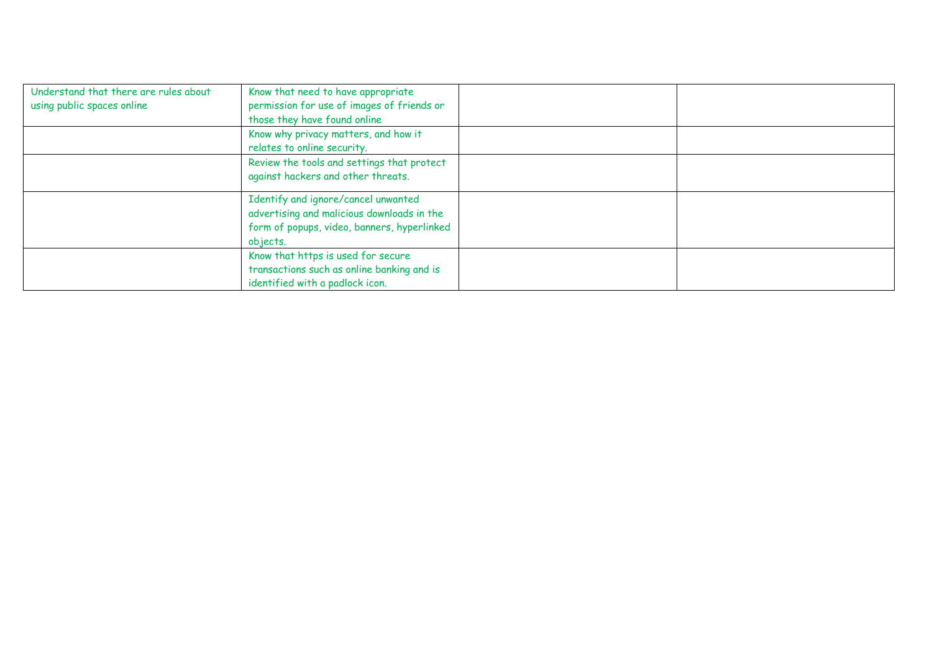| Understand that there are rules about<br>using public spaces online | Know that need to have appropriate<br>permission for use of images of friends or<br>those they have found online                             |  |
|---------------------------------------------------------------------|----------------------------------------------------------------------------------------------------------------------------------------------|--|
|                                                                     | Know why privacy matters, and how it<br>relates to online security.                                                                          |  |
|                                                                     | Review the tools and settings that protect<br>against hackers and other threats.                                                             |  |
|                                                                     | Identify and ignore/cancel unwanted<br>advertising and malicious downloads in the<br>form of popups, video, banners, hyperlinked<br>objects. |  |
|                                                                     | Know that https is used for secure<br>transactions such as online banking and is<br>identified with a padlock icon.                          |  |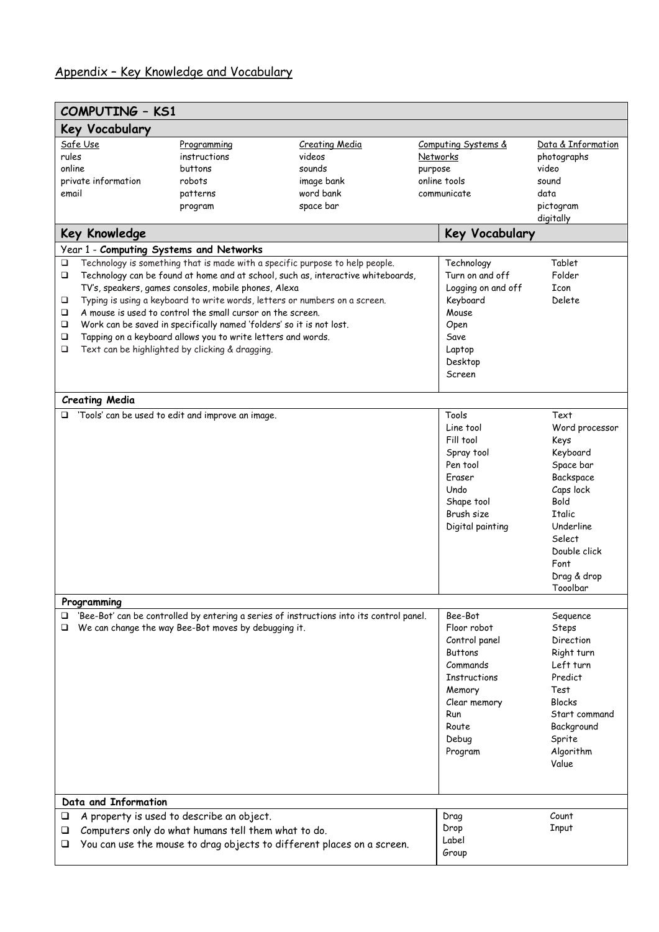# Appendix – Key Knowledge and Vocabulary

| <b>COMPUTING - KS1</b>                                                              |                                                                                                                                                                                                                                                                                                                                                          |                                                                                                                                                                                                                                                |                                                                                                                                                 |                                                                                                                                                                                      |
|-------------------------------------------------------------------------------------|----------------------------------------------------------------------------------------------------------------------------------------------------------------------------------------------------------------------------------------------------------------------------------------------------------------------------------------------------------|------------------------------------------------------------------------------------------------------------------------------------------------------------------------------------------------------------------------------------------------|-------------------------------------------------------------------------------------------------------------------------------------------------|--------------------------------------------------------------------------------------------------------------------------------------------------------------------------------------|
| Key Vocabulary                                                                      |                                                                                                                                                                                                                                                                                                                                                          |                                                                                                                                                                                                                                                |                                                                                                                                                 |                                                                                                                                                                                      |
| Safe Use<br>rules<br>online<br>private information<br>email<br><b>Key Knowledge</b> | Programming<br>instructions<br>buttons<br>robots<br>patterns<br>program                                                                                                                                                                                                                                                                                  | <b>Creating Media</b><br>videos<br>sounds<br>image bank<br>word bank<br>space bar                                                                                                                                                              | Computing Systems &<br>Networks<br>purpose<br>online tools<br>communicate<br><b>Key Vocabulary</b>                                              | Data & Information<br>photographs<br>video<br>sound<br>data<br>pictogram<br>digitally                                                                                                |
| □<br>□<br>□<br>$\Box$<br>□<br>❏<br>□                                                | Year 1 - Computing Systems and Networks<br>TV's, speakers, games consoles, mobile phones, Alexa<br>A mouse is used to control the small cursor on the screen.<br>Work can be saved in specifically named 'folders' so it is not lost.<br>Tapping on a keyboard allows you to write letters and words.<br>Text can be highlighted by clicking & dragging. | Technology is something that is made with a specific purpose to help people.<br>Technology can be found at home and at school, such as, interactive whiteboards,<br>Typing is using a keyboard to write words, letters or numbers on a screen. | Technology<br>Turn on and off<br>Logging on and off<br>Keyboard<br>Mouse<br>Open<br>Save<br>Laptop<br>Desktop<br>Screen                         | Tablet<br>Folder<br>Icon<br>Delete                                                                                                                                                   |
| <b>Creating Media</b>                                                               |                                                                                                                                                                                                                                                                                                                                                          |                                                                                                                                                                                                                                                |                                                                                                                                                 |                                                                                                                                                                                      |
|                                                                                     | $\Box$ 'Tools' can be used to edit and improve an image.                                                                                                                                                                                                                                                                                                 |                                                                                                                                                                                                                                                | Tools<br>Line tool<br>Fill tool<br>Spray tool<br>Pen tool<br>Eraser<br>Undo<br>Shape tool<br>Brush size<br>Digital painting                     | Text<br>Word processor<br>Keys<br>Keyboard<br>Space bar<br>Backspace<br>Caps lock<br>Bold<br><b>Ttalic</b><br>Underline<br>Select<br>Double click<br>Font<br>Drag & drop<br>Tooolbar |
| Programming                                                                         |                                                                                                                                                                                                                                                                                                                                                          |                                                                                                                                                                                                                                                | Bee-Bot                                                                                                                                         |                                                                                                                                                                                      |
| □                                                                                   | We can change the way Bee-Bot moves by debugging it.                                                                                                                                                                                                                                                                                                     | 'Bee-Bot' can be controlled by entering a series of instructions into its control panel.                                                                                                                                                       | Floor robot<br>Control panel<br><b>Buttons</b><br>Commands<br><b>Instructions</b><br>Memory<br>Clear memory<br>Run<br>Route<br>Debug<br>Program | Sequence<br>Steps<br>Direction<br>Right turn<br>Left turn<br>Predict<br>Test<br><b>Blocks</b><br>Start command<br>Background<br>Sprite<br>Algorithm<br>Value                         |
| Data and Information                                                                |                                                                                                                                                                                                                                                                                                                                                          |                                                                                                                                                                                                                                                |                                                                                                                                                 |                                                                                                                                                                                      |
| □<br>❏<br>⊔                                                                         | A property is used to describe an object.<br>Computers only do what humans tell them what to do.                                                                                                                                                                                                                                                         | You can use the mouse to drag objects to different places on a screen.                                                                                                                                                                         | Drag<br>Drop<br>Label<br>Group                                                                                                                  | Count<br><b>Input</b>                                                                                                                                                                |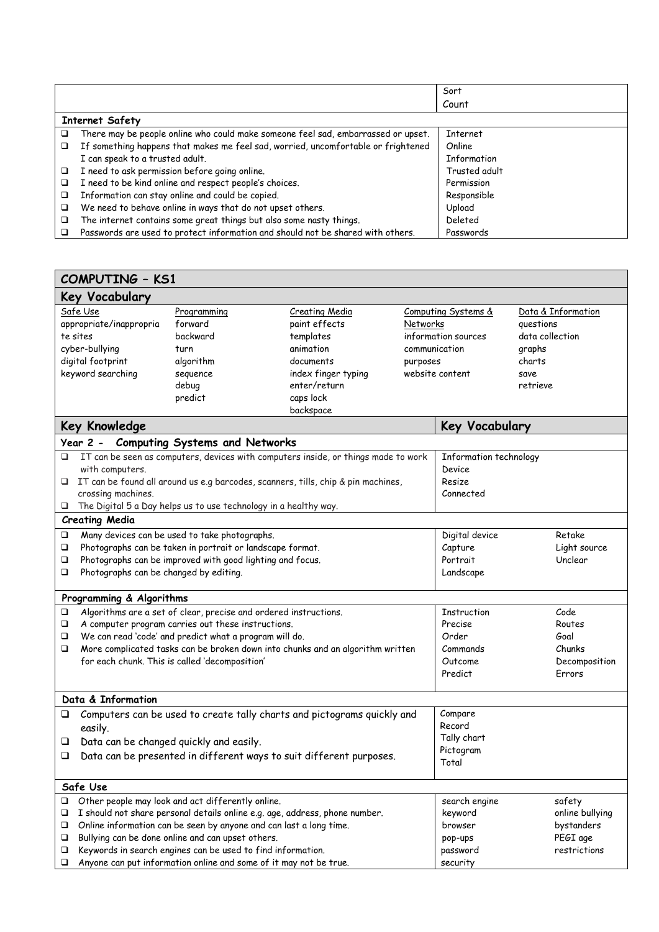|   |                                                                                   | Sort            |  |  |  |
|---|-----------------------------------------------------------------------------------|-----------------|--|--|--|
|   |                                                                                   | Count           |  |  |  |
|   | <b>Internet Safety</b>                                                            |                 |  |  |  |
|   | There may be people online who could make someone feel sad, embarrassed or upset. | <b>Internet</b> |  |  |  |
| □ | If something happens that makes me feel sad, worried, uncomfortable or frightened | Online          |  |  |  |
|   | I can speak to a trusted adult.                                                   | Information     |  |  |  |
| □ | I need to ask permission before going online.                                     | Trusted adult   |  |  |  |
| □ | I need to be kind online and respect people's choices.                            | Permission      |  |  |  |
| □ | Information can stay online and could be copied.                                  | Responsible     |  |  |  |
| □ | We need to behave online in ways that do not upset others.                        | Upload          |  |  |  |
| □ | The internet contains some great things but also some nasty things.               | Deleted         |  |  |  |
|   | Passwords are used to protect information and should not be shared with others.   | Passwords       |  |  |  |

|                                                                                     | <b>COMPUTING - KS1</b>                                                                  |                                                                    |                                                                                     |              |                        |                    |
|-------------------------------------------------------------------------------------|-----------------------------------------------------------------------------------------|--------------------------------------------------------------------|-------------------------------------------------------------------------------------|--------------|------------------------|--------------------|
|                                                                                     | Key Vocabulary                                                                          |                                                                    |                                                                                     |              |                        |                    |
|                                                                                     | Safe Use                                                                                | Programming                                                        | <b>Creating Media</b>                                                               |              | Computing Systems &    | Data & Information |
|                                                                                     | appropriate/inappropria                                                                 | forward                                                            | paint effects                                                                       | Networks     |                        | questions          |
|                                                                                     | te sites                                                                                | backward                                                           | templates                                                                           |              | information sources    | data collection    |
|                                                                                     | cyber-bullying                                                                          | turn                                                               | animation                                                                           |              | communication          | graphs             |
|                                                                                     | digital footprint                                                                       | algorithm                                                          | documents                                                                           | purposes     |                        | charts             |
|                                                                                     | keyword searching                                                                       | sequence                                                           | index finger typing                                                                 |              | website content        | save               |
|                                                                                     |                                                                                         | debug                                                              | enter/return                                                                        |              |                        | retrieve           |
|                                                                                     |                                                                                         | predict                                                            | caps lock                                                                           |              |                        |                    |
|                                                                                     |                                                                                         |                                                                    | backspace                                                                           |              |                        |                    |
|                                                                                     | <b>Key Knowledge</b>                                                                    |                                                                    |                                                                                     |              | Key Vocabulary         |                    |
|                                                                                     | Year 2 -                                                                                | <b>Computing Systems and Networks</b>                              |                                                                                     |              |                        |                    |
| o                                                                                   |                                                                                         |                                                                    | IT can be seen as computers, devices with computers inside, or things made to work  |              | Information technology |                    |
|                                                                                     | with computers.                                                                         |                                                                    |                                                                                     |              | Device                 |                    |
|                                                                                     |                                                                                         |                                                                    | □ IT can be found all around us e.g barcodes, scanners, tills, chip & pin machines, |              | Resize                 |                    |
|                                                                                     | crossing machines.                                                                      |                                                                    |                                                                                     |              | Connected              |                    |
| ❏                                                                                   | <b>Creating Media</b>                                                                   | The Digital 5 a Day helps us to use technology in a healthy way.   |                                                                                     |              |                        |                    |
|                                                                                     |                                                                                         |                                                                    |                                                                                     |              |                        |                    |
| □                                                                                   |                                                                                         | Many devices can be used to take photographs.                      |                                                                                     |              | Digital device         | Retake             |
| Photographs can be taken in portrait or landscape format.<br>□                      |                                                                                         |                                                                    | Capture                                                                             | Light source |                        |                    |
| Photographs can be improved with good lighting and focus.<br>□                      |                                                                                         |                                                                    |                                                                                     | Portrait     | Unclear                |                    |
| Photographs can be changed by editing.<br>❏<br>Landscape                            |                                                                                         |                                                                    |                                                                                     |              |                        |                    |
|                                                                                     | Programming & Algorithms                                                                |                                                                    |                                                                                     |              |                        |                    |
| □                                                                                   | Algorithms are a set of clear, precise and ordered instructions.<br>Instruction<br>Code |                                                                    |                                                                                     |              |                        |                    |
| ❏                                                                                   | A computer program carries out these instructions.<br>Precise<br>Routes                 |                                                                    |                                                                                     |              |                        |                    |
| ❏                                                                                   | We can read 'code' and predict what a program will do.<br>Order<br>Goal                 |                                                                    |                                                                                     |              |                        |                    |
| More complicated tasks can be broken down into chunks and an algorithm written<br>□ |                                                                                         |                                                                    |                                                                                     | Commands     | Chunks                 |                    |
|                                                                                     |                                                                                         | for each chunk. This is called 'decomposition'                     |                                                                                     |              | Outcome                | Decomposition      |
|                                                                                     |                                                                                         |                                                                    |                                                                                     |              | Predict                | Errors             |
|                                                                                     |                                                                                         |                                                                    |                                                                                     |              |                        |                    |
|                                                                                     | Data & Information                                                                      |                                                                    |                                                                                     |              |                        |                    |
| ❏                                                                                   |                                                                                         |                                                                    | Computers can be used to create tally charts and pictograms quickly and             |              | Compare                |                    |
|                                                                                     | easily.                                                                                 |                                                                    |                                                                                     |              | Record                 |                    |
| □                                                                                   |                                                                                         | Data can be changed quickly and easily.                            |                                                                                     |              | Tally chart            |                    |
| ❏                                                                                   |                                                                                         |                                                                    |                                                                                     |              | Pictogram              |                    |
|                                                                                     | Data can be presented in different ways to suit different purposes.<br>Total            |                                                                    |                                                                                     |              |                        |                    |
|                                                                                     | Safe Use                                                                                |                                                                    |                                                                                     |              |                        |                    |
| □                                                                                   |                                                                                         | Other people may look and act differently online.                  |                                                                                     |              | search engine          | safety             |
| □                                                                                   |                                                                                         |                                                                    | I should not share personal details online e.g. age, address, phone number.         |              | keyword                | online bullying    |
| □                                                                                   |                                                                                         | Online information can be seen by anyone and can last a long time. |                                                                                     |              | browser                | bystanders         |
| □                                                                                   |                                                                                         | Bullying can be done online and can upset others.                  |                                                                                     |              | pop-ups                | PEGI age           |
| ❏                                                                                   |                                                                                         | Keywords in search engines can be used to find information.        |                                                                                     |              | password               | restrictions       |
| □                                                                                   | Anyone can put information online and some of it may not be true.                       |                                                                    |                                                                                     |              | security               |                    |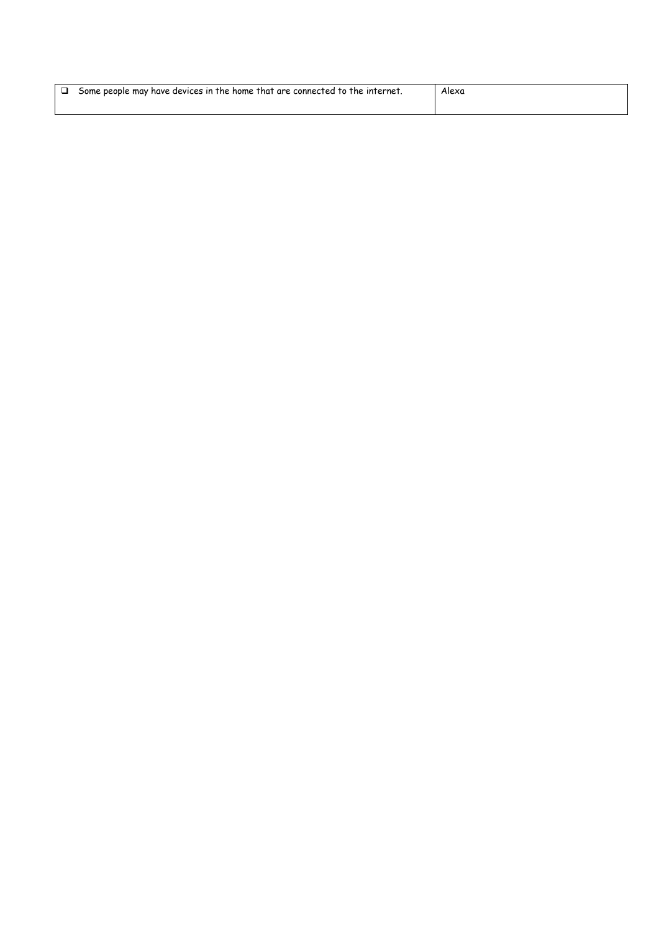| Some people may have devices in the home that are connected to the internet. |  | Alexa |
|------------------------------------------------------------------------------|--|-------|
|                                                                              |  |       |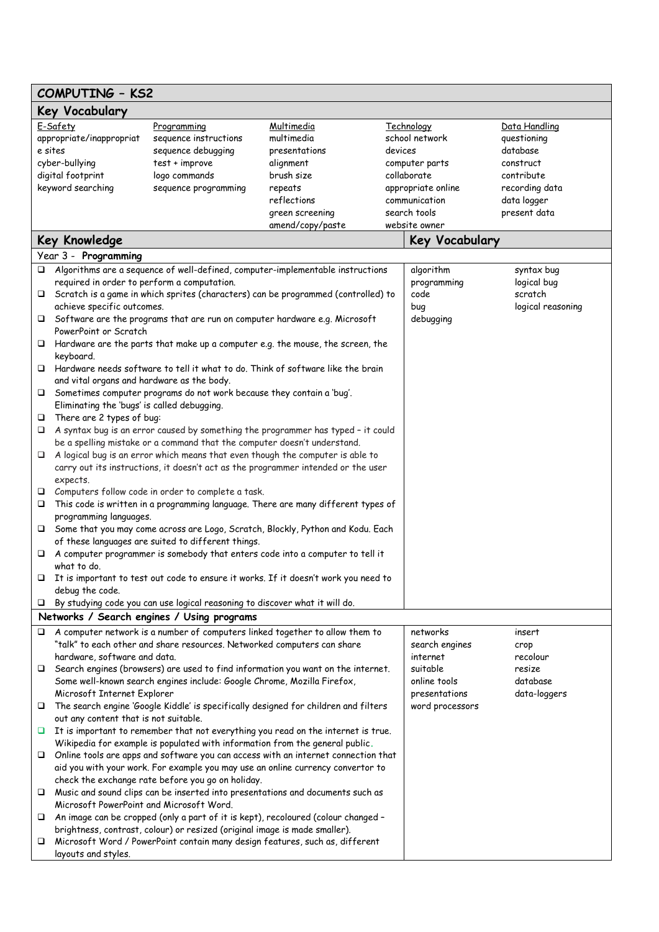# **COMPUTING – KS2**

|        | COMENTINA - VOC                             |                                                                             |                                                                                          |         |                    |                   |
|--------|---------------------------------------------|-----------------------------------------------------------------------------|------------------------------------------------------------------------------------------|---------|--------------------|-------------------|
|        | Key Vocabulary                              |                                                                             |                                                                                          |         |                    |                   |
|        | E-Safety                                    | Programming                                                                 | Multimedia                                                                               |         | <b>Technology</b>  | Data Handling     |
|        | appropriate/inappropriat                    | sequence instructions                                                       | multimedia                                                                               |         | school network     | questioning       |
|        | e sites                                     | sequence debugging                                                          | presentations                                                                            | devices |                    | database          |
|        | cyber-bullying                              | test + improve                                                              | alignment                                                                                |         | computer parts     | construct         |
|        | digital footprint                           | logo commands                                                               | brush size                                                                               |         | collaborate        | contribute        |
|        | keyword searching                           | sequence programming                                                        | repeats                                                                                  |         | appropriate online | recording data    |
|        |                                             |                                                                             | reflections                                                                              |         | communication      | data logger       |
|        |                                             |                                                                             | green screening                                                                          |         | search tools       | present data      |
|        |                                             |                                                                             | amend/copy/paste                                                                         |         | website owner      |                   |
|        | <b>Key Knowledge</b>                        |                                                                             |                                                                                          |         | Key Vocabulary     |                   |
|        | Year 3 - Programming                        |                                                                             |                                                                                          |         |                    |                   |
| $\Box$ |                                             |                                                                             | Algorithms are a sequence of well-defined, computer-implementable instructions           |         | algorithm          | syntax bug        |
|        | required in order to perform a computation. |                                                                             |                                                                                          |         | programming        | logical bug       |
|        |                                             |                                                                             | □ Scratch is a game in which sprites (characters) can be programmed (controlled) to      |         | code               | scratch           |
|        | achieve specific outcomes.                  |                                                                             |                                                                                          |         | bug                | logical reasoning |
|        |                                             |                                                                             | $\Box$ Software are the programs that are run on computer hardware e.g. Microsoft        |         | debugging          |                   |
|        | PowerPoint or Scratch                       |                                                                             |                                                                                          |         |                    |                   |
| □      |                                             |                                                                             | Hardware are the parts that make up a computer e.g. the mouse, the screen, the           |         |                    |                   |
|        | keyboard.                                   |                                                                             |                                                                                          |         |                    |                   |
| □      |                                             |                                                                             | Hardware needs software to tell it what to do. Think of software like the brain          |         |                    |                   |
|        | and vital organs and hardware as the body.  |                                                                             |                                                                                          |         |                    |                   |
| □      |                                             | Sometimes computer programs do not work because they contain a 'bug'.       |                                                                                          |         |                    |                   |
|        | Eliminating the 'bugs' is called debugging. |                                                                             |                                                                                          |         |                    |                   |
| □      | There are 2 types of bug:                   |                                                                             |                                                                                          |         |                    |                   |
| $\Box$ |                                             |                                                                             | A syntax bug is an error caused by something the programmer has typed - it could         |         |                    |                   |
|        |                                             | be a spelling mistake or a command that the computer doesn't understand.    |                                                                                          |         |                    |                   |
| $\Box$ |                                             |                                                                             | A logical bug is an error which means that even though the computer is able to           |         |                    |                   |
|        |                                             |                                                                             | carry out its instructions, it doesn't act as the programmer intended or the user        |         |                    |                   |
|        | expects.                                    |                                                                             |                                                                                          |         |                    |                   |
| ⊔      |                                             | Computers follow code in order to complete a task.                          |                                                                                          |         |                    |                   |
| □      |                                             |                                                                             | This code is written in a programming language. There are many different types of        |         |                    |                   |
|        | programming languages.                      |                                                                             |                                                                                          |         |                    |                   |
| $\Box$ |                                             |                                                                             | Some that you may come across are Logo, Scratch, Blockly, Python and Kodu. Each          |         |                    |                   |
|        |                                             | of these languages are suited to different things.                          |                                                                                          |         |                    |                   |
| $\Box$ |                                             |                                                                             | A computer programmer is somebody that enters code into a computer to tell it            |         |                    |                   |
|        | what to do.                                 |                                                                             |                                                                                          |         |                    |                   |
| □      |                                             |                                                                             | It is important to test out code to ensure it works. If it doesn't work you need to      |         |                    |                   |
|        | debug the code.                             |                                                                             |                                                                                          |         |                    |                   |
| □      |                                             | By studying code you can use logical reasoning to discover what it will do. |                                                                                          |         |                    |                   |
|        |                                             | Networks / Search engines / Using programs                                  |                                                                                          |         |                    |                   |
| $\Box$ |                                             |                                                                             | A computer network is a number of computers linked together to allow them to             |         | networks           | insert            |
|        |                                             | "talk" to each other and share resources. Networked computers can share     |                                                                                          |         | search engines     | crop              |
|        | hardware, software and data.                |                                                                             |                                                                                          |         | internet           | recolour          |
| □      |                                             |                                                                             | Search engines (browsers) are used to find information you want on the internet.         |         | suitable           | resize            |
|        |                                             | Some well-known search engines include: Google Chrome, Mozilla Firefox,     |                                                                                          |         | online tools       | database          |
|        | Microsoft Internet Explorer                 |                                                                             |                                                                                          |         | presentations      | data-loggers      |
| □      |                                             |                                                                             | The search engine 'Google Kiddle' is specifically designed for children and filters      |         | word processors    |                   |
|        | out any content that is not suitable.       |                                                                             |                                                                                          |         |                    |                   |
|        |                                             |                                                                             | It is important to remember that not everything you read on the internet is true.        |         |                    |                   |
|        |                                             |                                                                             | Wikipedia for example is populated with information from the general public.             |         |                    |                   |
| ⊔      |                                             |                                                                             | Online tools are apps and software you can access with an internet connection that       |         |                    |                   |
|        |                                             |                                                                             | aid you with your work. For example you may use an online currency convertor to          |         |                    |                   |
|        |                                             | check the exchange rate before you go on holiday.                           |                                                                                          |         |                    |                   |
| ⊔      |                                             |                                                                             | Music and sound clips can be inserted into presentations and documents such as           |         |                    |                   |
|        | Microsoft PowerPoint and Microsoft Word.    |                                                                             |                                                                                          |         |                    |                   |
|        |                                             |                                                                             | $\Box$ An image can be cropped (only a part of it is kept), recoloured (colour changed - |         |                    |                   |
|        |                                             | brightness, contrast, colour) or resized (original image is made smaller).  |                                                                                          |         |                    |                   |
| ⊔      |                                             |                                                                             | Microsoft Word / PowerPoint contain many design features, such as, different             |         |                    |                   |
|        | layouts and styles.                         |                                                                             |                                                                                          |         |                    |                   |

┑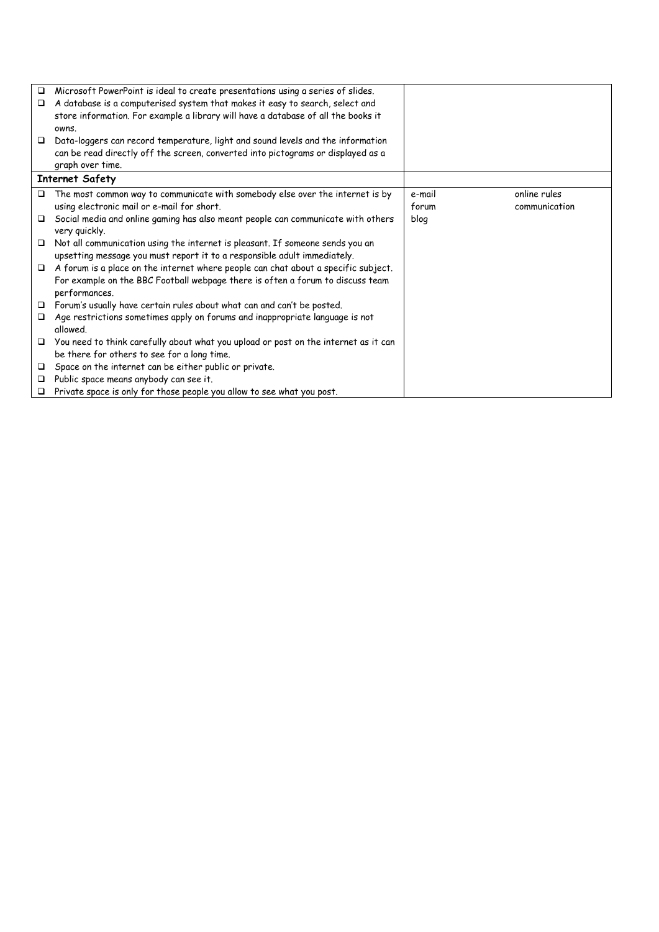| $\Box$ | Microsoft PowerPoint is ideal to create presentations using a series of slides.     |        |               |
|--------|-------------------------------------------------------------------------------------|--------|---------------|
| $\Box$ | A database is a computerised system that makes it easy to search, select and        |        |               |
|        | store information. For example a library will have a database of all the books it   |        |               |
|        | owns.                                                                               |        |               |
| □      | Data-loggers can record temperature, light and sound levels and the information     |        |               |
|        | can be read directly off the screen, converted into pictograms or displayed as a    |        |               |
|        | graph over time.                                                                    |        |               |
|        | <b>Internet Safety</b>                                                              |        |               |
| $\Box$ | The most common way to communicate with somebody else over the internet is by       | e-mail | online rules  |
|        | using electronic mail or e-mail for short.                                          | forum  | communication |
| □      | Social media and online gaming has also meant people can communicate with others    | blog   |               |
|        | very quickly.                                                                       |        |               |
| □      | Not all communication using the internet is pleasant. If someone sends you an       |        |               |
|        | upsetting message you must report it to a responsible adult immediately.            |        |               |
| $\Box$ | A forum is a place on the internet where people can chat about a specific subject.  |        |               |
|        | For example on the BBC Football webpage there is often a forum to discuss team      |        |               |
|        | performances.                                                                       |        |               |
| □      | Forum's usually have certain rules about what can and can't be posted.              |        |               |
| ▫      | Age restrictions sometimes apply on forums and inappropriate language is not        |        |               |
|        | allowed.                                                                            |        |               |
| $\Box$ | You need to think carefully about what you upload or post on the internet as it can |        |               |
|        | be there for others to see for a long time.                                         |        |               |
| $\Box$ | Space on the internet can be either public or private.                              |        |               |
| □      | Public space means anybody can see it.                                              |        |               |
| $\Box$ | Private space is only for those people you allow to see what you post.              |        |               |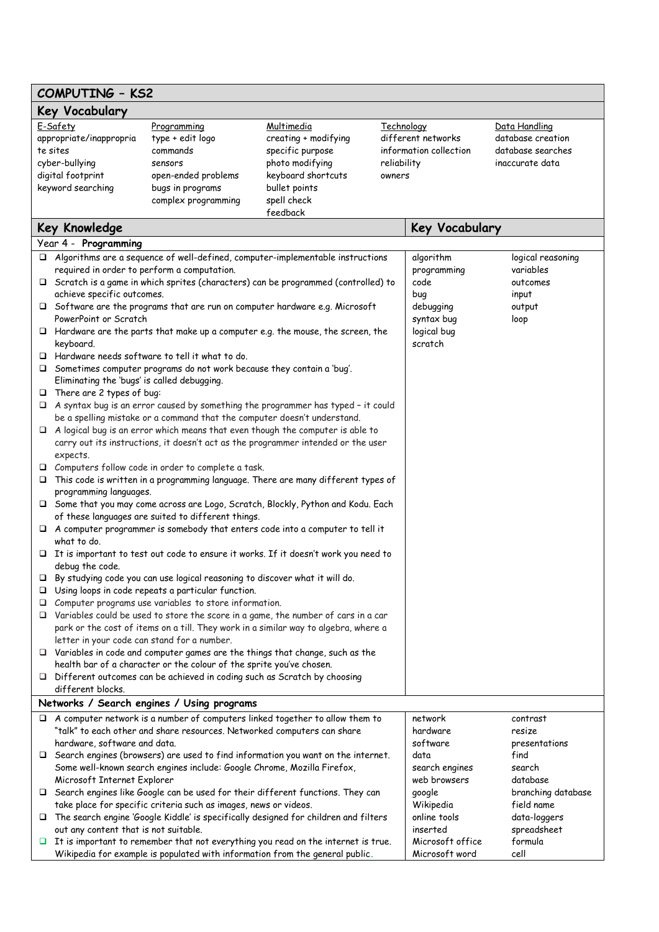| <b>COMPUTING - KS2</b>                                                                                                                                                                                                        |                                                                                                                                                                                                                                                                                                |                                                                                                                          |                                                                                                                                                                                                                                                                        |                                     |                                                      |                                                                            |  |
|-------------------------------------------------------------------------------------------------------------------------------------------------------------------------------------------------------------------------------|------------------------------------------------------------------------------------------------------------------------------------------------------------------------------------------------------------------------------------------------------------------------------------------------|--------------------------------------------------------------------------------------------------------------------------|------------------------------------------------------------------------------------------------------------------------------------------------------------------------------------------------------------------------------------------------------------------------|-------------------------------------|------------------------------------------------------|----------------------------------------------------------------------------|--|
| Key Vocabulary                                                                                                                                                                                                                |                                                                                                                                                                                                                                                                                                |                                                                                                                          |                                                                                                                                                                                                                                                                        |                                     |                                                      |                                                                            |  |
| E-Safety<br>appropriate/inappropria<br>te sites<br>cyber-bullying<br>digital footprint<br>keyword searching                                                                                                                   |                                                                                                                                                                                                                                                                                                | Programming<br>type + edit logo<br>commands<br>sensors<br>open-ended problems<br>bugs in programs<br>complex programming | Multimedia<br>creating + modifying<br>specific purpose<br>photo modifying<br>keyboard shortcuts<br>bullet points<br>spell check<br>feedback                                                                                                                            | Technology<br>reliability<br>owners | different networks<br>information collection         | Data Handling<br>database creation<br>database searches<br>inaccurate data |  |
|                                                                                                                                                                                                                               | <b>Key Knowledge</b>                                                                                                                                                                                                                                                                           |                                                                                                                          |                                                                                                                                                                                                                                                                        |                                     | <b>Key Vocabulary</b>                                |                                                                            |  |
|                                                                                                                                                                                                                               | Year 4 - Programming                                                                                                                                                                                                                                                                           |                                                                                                                          |                                                                                                                                                                                                                                                                        |                                     |                                                      |                                                                            |  |
|                                                                                                                                                                                                                               | required in order to perform a computation.<br>achieve specific outcomes.                                                                                                                                                                                                                      |                                                                                                                          | $\Box$ Algorithms are a sequence of well-defined, computer-implementable instructions<br>$\Box$ Scratch is a game in which sprites (characters) can be programmed (controlled) to<br>$\Box$ Software are the programs that are run on computer hardware e.g. Microsoft |                                     | algorithm<br>programming<br>code<br>bug<br>debugging | logical reasoning<br>variables<br>outcomes<br>input<br>output              |  |
|                                                                                                                                                                                                                               | PowerPoint or Scratch<br>syntax bug<br>$\Box$ Hardware are the parts that make up a computer e.g. the mouse, the screen, the<br>logical bug<br>scratch<br>keyboard.<br>Hardware needs software to tell it what to do.<br>Sometimes computer programs do not work because they contain a 'bug'. |                                                                                                                          |                                                                                                                                                                                                                                                                        |                                     | loop                                                 |                                                                            |  |
| ❏<br>□                                                                                                                                                                                                                        | Eliminating the 'bugs' is called debugging.<br>There are 2 types of bug:                                                                                                                                                                                                                       |                                                                                                                          |                                                                                                                                                                                                                                                                        |                                     |                                                      |                                                                            |  |
| □<br>□                                                                                                                                                                                                                        | A syntax bug is an error caused by something the programmer has typed - it could<br>be a spelling mistake or a command that the computer doesn't understand.                                                                                                                                   |                                                                                                                          |                                                                                                                                                                                                                                                                        |                                     |                                                      |                                                                            |  |
| ⊔                                                                                                                                                                                                                             | A logical bug is an error which means that even though the computer is able to<br>carry out its instructions, it doesn't act as the programmer intended or the user<br>expects.<br>Computers follow code in order to complete a task.                                                          |                                                                                                                          |                                                                                                                                                                                                                                                                        |                                     |                                                      |                                                                            |  |
| □                                                                                                                                                                                                                             | This code is written in a programming language. There are many different types of<br>programming languages.                                                                                                                                                                                    |                                                                                                                          |                                                                                                                                                                                                                                                                        |                                     |                                                      |                                                                            |  |
| Some that you may come across are Logo, Scratch, Blockly, Python and Kodu. Each<br>of these languages are suited to different things.<br>$\Box$ A computer programmer is somebody that enters code into a computer to tell it |                                                                                                                                                                                                                                                                                                |                                                                                                                          |                                                                                                                                                                                                                                                                        |                                     |                                                      |                                                                            |  |
| ⊔                                                                                                                                                                                                                             | what to do.                                                                                                                                                                                                                                                                                    |                                                                                                                          | It is important to test out code to ensure it works. If it doesn't work you need to                                                                                                                                                                                    |                                     |                                                      |                                                                            |  |
|                                                                                                                                                                                                                               | debug the code.<br>By studying code you can use logical reasoning to discover what it will do.<br>$\Box$ Using loops in code repeats a particular function.                                                                                                                                    |                                                                                                                          |                                                                                                                                                                                                                                                                        |                                     |                                                      |                                                                            |  |
| □<br>□                                                                                                                                                                                                                        | Computer programs use variables to store information.<br>Variables could be used to store the score in a game, the number of cars in a car<br>park or the cost of items on a till. They work in a similar way to algebra, where a                                                              |                                                                                                                          |                                                                                                                                                                                                                                                                        |                                     |                                                      |                                                                            |  |
|                                                                                                                                                                                                                               | letter in your code can stand for a number.                                                                                                                                                                                                                                                    | health bar of a character or the colour of the sprite you've chosen.                                                     | $\Box$ Variables in code and computer games are the things that change, such as the                                                                                                                                                                                    |                                     |                                                      |                                                                            |  |
| □                                                                                                                                                                                                                             | different blocks.                                                                                                                                                                                                                                                                              | Different outcomes can be achieved in coding such as Scratch by choosing                                                 |                                                                                                                                                                                                                                                                        |                                     |                                                      |                                                                            |  |
| Networks / Search engines / Using programs                                                                                                                                                                                    |                                                                                                                                                                                                                                                                                                |                                                                                                                          |                                                                                                                                                                                                                                                                        |                                     |                                                      |                                                                            |  |
|                                                                                                                                                                                                                               | hardware, software and data.                                                                                                                                                                                                                                                                   | "talk" to each other and share resources. Networked computers can share                                                  | $\Box$ A computer network is a number of computers linked together to allow them to                                                                                                                                                                                    |                                     | network<br>hardware<br>software                      | contrast<br>resize<br>presentations                                        |  |
|                                                                                                                                                                                                                               | Microsoft Internet Explorer                                                                                                                                                                                                                                                                    | Some well-known search engines include: Google Chrome, Mozilla Firefox,                                                  | $\Box$ Search engines (browsers) are used to find information you want on the internet.                                                                                                                                                                                |                                     | data<br>search engines<br>web browsers               | find<br>search<br>database                                                 |  |
|                                                                                                                                                                                                                               |                                                                                                                                                                                                                                                                                                | take place for specific criteria such as images, news or videos.                                                         | □ Search engines like Google can be used for their different functions. They can                                                                                                                                                                                       |                                     | google<br>Wikipedia                                  | branching database<br>field name                                           |  |
| □                                                                                                                                                                                                                             | out any content that is not suitable.                                                                                                                                                                                                                                                          |                                                                                                                          | The search engine 'Google Kiddle' is specifically designed for children and filters                                                                                                                                                                                    |                                     | online tools<br>inserted                             | data-loggers<br>spreadsheet                                                |  |
| Ц                                                                                                                                                                                                                             |                                                                                                                                                                                                                                                                                                |                                                                                                                          | It is important to remember that not everything you read on the internet is true.<br>Wikipedia for example is populated with information from the general public.                                                                                                      |                                     | Microsoft office<br>Microsoft word                   | formula<br>cell                                                            |  |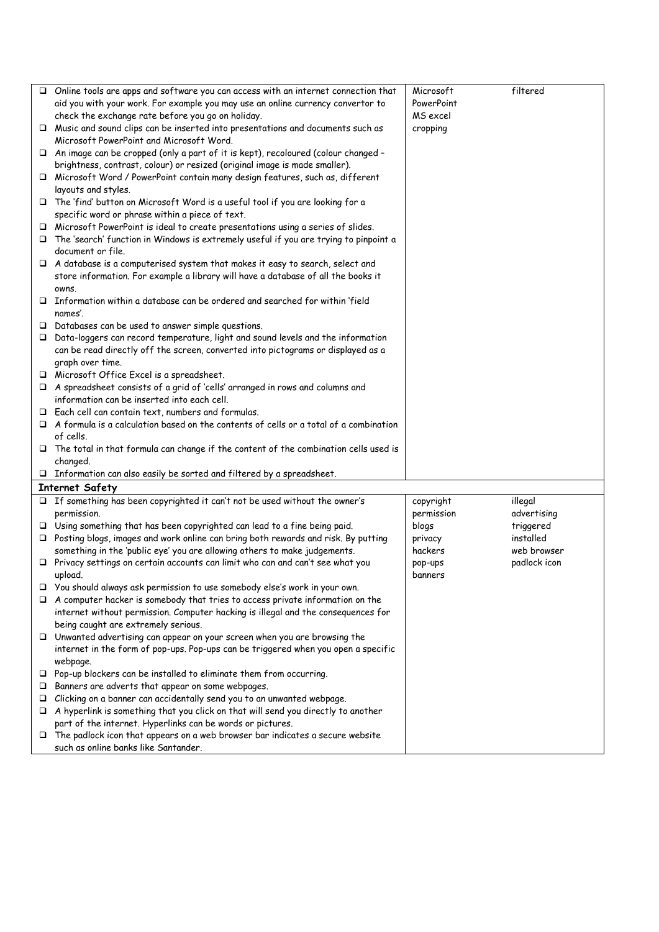|   | $\Box$ Online tools are apps and software you can access with an internet connection that               | Microsoft  | filtered               |
|---|---------------------------------------------------------------------------------------------------------|------------|------------------------|
|   | aid you with your work. For example you may use an online currency convertor to                         | PowerPoint |                        |
|   | check the exchange rate before you go on holiday.                                                       | MS excel   |                        |
|   | $\Box$ Music and sound clips can be inserted into presentations and documents such as                   | cropping   |                        |
|   | Microsoft PowerPoint and Microsoft Word.                                                                |            |                        |
|   | □ An image can be cropped (only a part of it is kept), recoloured (colour changed -                     |            |                        |
|   | brightness, contrast, colour) or resized (original image is made smaller).                              |            |                        |
|   | □ Microsoft Word / PowerPoint contain many design features, such as, different                          |            |                        |
|   | layouts and styles.                                                                                     |            |                        |
|   | The 'find' button on Microsoft Word is a useful tool if you are looking for a                           |            |                        |
|   | specific word or phrase within a piece of text.                                                         |            |                        |
|   | $\Box$ Microsoft PowerPoint is ideal to create presentations using a series of slides.                  |            |                        |
|   | The 'search' function in Windows is extremely useful if you are trying to pinpoint a                    |            |                        |
|   | document or file.                                                                                       |            |                        |
|   | $\Box$ A database is a computerised system that makes it easy to search, select and                     |            |                        |
|   | store information. For example a library will have a database of all the books it                       |            |                        |
|   | owns.                                                                                                   |            |                        |
|   | $\Box$ Information within a database can be ordered and searched for within 'field                      |            |                        |
|   | names'.                                                                                                 |            |                        |
|   | $\Box$ Databases can be used to answer simple questions.                                                |            |                        |
|   | $\Box$ Data-loggers can record temperature, light and sound levels and the information                  |            |                        |
|   | can be read directly off the screen, converted into pictograms or displayed as a                        |            |                        |
|   | graph over time.                                                                                        |            |                        |
|   | □ Microsoft Office Excel is a spreadsheet.                                                              |            |                        |
|   | A spreadsheet consists of a grid of 'cells' arranged in rows and columns and                            |            |                        |
|   | information can be inserted into each cell.                                                             |            |                        |
|   | $\Box$ Each cell can contain text, numbers and formulas.                                                |            |                        |
|   | $\Box$ A formula is a calculation based on the contents of cells or a total of a combination            |            |                        |
|   | of cells.                                                                                               |            |                        |
|   | $\Box$ The total in that formula can change if the content of the combination cells used is<br>changed. |            |                        |
|   | $\Box$ Information can also easily be sorted and filtered by a spreadsheet.                             |            |                        |
|   | <b>Internet Safety</b>                                                                                  |            |                        |
|   | $\Box$ If something has been copyrighted it can't not be used without the owner's                       | copyright  | illegal                |
|   | permission.                                                                                             | permission | advertising            |
|   | $\Box$ Using something that has been copyrighted can lead to a fine being paid.                         | blogs      |                        |
|   | $\Box$ Posting blogs, images and work online can bring both rewards and risk. By putting                | privacy    | triggered<br>installed |
|   | something in the 'public eye' you are allowing others to make judgements.                               | hackers    | web browser            |
|   | $\Box$ Privacy settings on certain accounts can limit who can and can't see what you                    | pop-ups    | padlock icon           |
|   | upload.                                                                                                 | banners    |                        |
|   | $\Box$ You should always ask permission to use somebody else's work in your own.                        |            |                        |
| □ | A computer hacker is somebody that tries to access private information on the                           |            |                        |
|   | internet without permission. Computer hacking is illegal and the consequences for                       |            |                        |
|   | being caught are extremely serious.                                                                     |            |                        |
|   | $\Box$ Unwanted advertising can appear on your screen when you are browsing the                         |            |                        |
|   | internet in the form of pop-ups. Pop-ups can be triggered when you open a specific                      |            |                        |
|   | webpage.                                                                                                |            |                        |
|   | $\Box$ Pop-up blockers can be installed to eliminate them from occurring.                               |            |                        |
| □ | Banners are adverts that appear on some webpages.                                                       |            |                        |
| ⊔ | Clicking on a banner can accidentally send you to an unwanted webpage.                                  |            |                        |
| □ | A hyperlink is something that you click on that will send you directly to another                       |            |                        |
|   | part of the internet. Hyperlinks can be words or pictures.                                              |            |                        |
|   | $\Box$ The padlock icon that appears on a web browser bar indicates a secure website                    |            |                        |
|   | such as online banks like Santander.                                                                    |            |                        |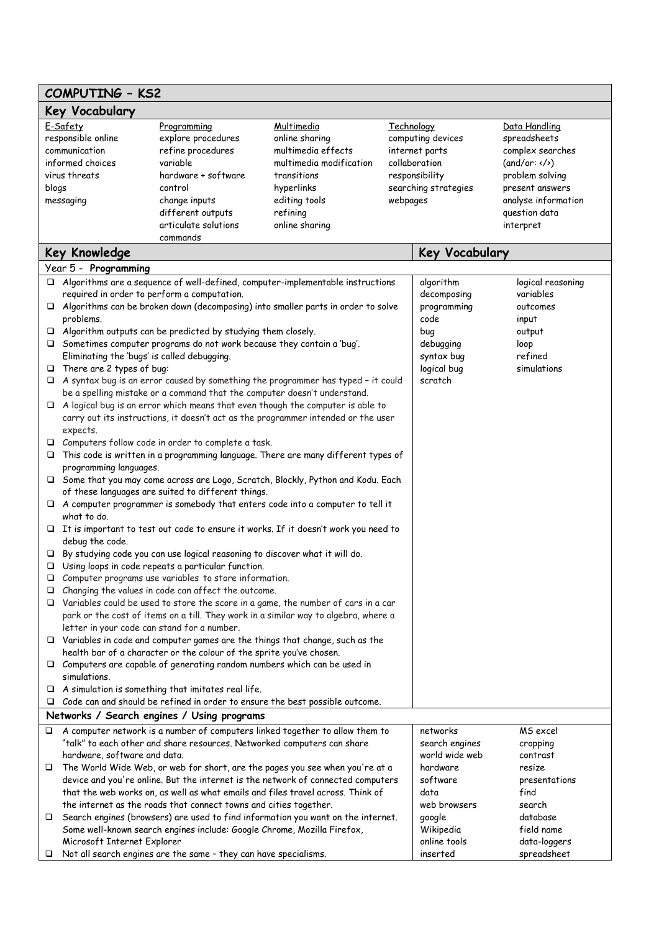| <b>COMPUTING - KS2</b>                                                                                                     |                                                                                                               |                                                                                   |                   |                        |                                        |
|----------------------------------------------------------------------------------------------------------------------------|---------------------------------------------------------------------------------------------------------------|-----------------------------------------------------------------------------------|-------------------|------------------------|----------------------------------------|
| <b>Key Vocabulary</b>                                                                                                      |                                                                                                               |                                                                                   |                   |                        |                                        |
| E-Safety<br>Multimedia<br>Programming                                                                                      |                                                                                                               |                                                                                   | <b>Technology</b> |                        | Data Handling                          |
| responsible online                                                                                                         | explore procedures                                                                                            | online sharing                                                                    |                   | computing devices      | spreadsheets                           |
| communication                                                                                                              | refine procedures                                                                                             | multimedia effects                                                                |                   | internet parts         | complex searches                       |
| informed choices                                                                                                           | variable                                                                                                      | multimedia modification                                                           |                   | collaboration          | (and/or: < />)                         |
| virus threats                                                                                                              | hardware + software<br>control                                                                                | transitions                                                                       |                   | responsibility         | problem solving                        |
| blogs<br>messaging                                                                                                         | change inputs                                                                                                 | hyperlinks<br>editing tools                                                       | webpages          | searching strategies   | present answers<br>analyse information |
|                                                                                                                            | different outputs                                                                                             | refining                                                                          |                   |                        | question data                          |
|                                                                                                                            | articulate solutions                                                                                          | online sharing                                                                    |                   |                        | interpret                              |
|                                                                                                                            | commands                                                                                                      |                                                                                   |                   |                        |                                        |
| <b>Key Knowledge</b>                                                                                                       |                                                                                                               |                                                                                   |                   | <b>Key Vocabulary</b>  |                                        |
| Year 5 - Programming                                                                                                       |                                                                                                               |                                                                                   |                   |                        |                                        |
|                                                                                                                            | $\Box$ Algorithms are a sequence of well-defined, computer-implementable instructions                         |                                                                                   |                   | algorithm              | logical reasoning                      |
|                                                                                                                            | required in order to perform a computation.                                                                   |                                                                                   |                   | decomposing            | variables                              |
|                                                                                                                            | $\Box$ Algorithms can be broken down (decomposing) into smaller parts in order to solve                       |                                                                                   |                   | programming            | outcomes                               |
| problems.                                                                                                                  |                                                                                                               |                                                                                   |                   | code                   | input                                  |
|                                                                                                                            | $\Box$ Algorithm outputs can be predicted by studying them closely.                                           |                                                                                   |                   | bug                    | output                                 |
|                                                                                                                            | Sometimes computer programs do not work because they contain a 'bug'.                                         |                                                                                   |                   | debugging              | loop                                   |
|                                                                                                                            | Eliminating the 'bugs' is called debugging.                                                                   |                                                                                   |                   | syntax bug             | refined<br>simulations                 |
| □<br>□                                                                                                                     | There are 2 types of bug:<br>A syntax bug is an error caused by something the programmer has typed - it could |                                                                                   |                   | logical bug<br>scratch |                                        |
|                                                                                                                            | be a spelling mistake or a command that the computer doesn't understand.                                      |                                                                                   |                   |                        |                                        |
| □                                                                                                                          | A logical bug is an error which means that even though the computer is able to                                |                                                                                   |                   |                        |                                        |
|                                                                                                                            |                                                                                                               | carry out its instructions, it doesn't act as the programmer intended or the user |                   |                        |                                        |
| expects.                                                                                                                   |                                                                                                               |                                                                                   |                   |                        |                                        |
| □                                                                                                                          | Computers follow code in order to complete a task.                                                            |                                                                                   |                   |                        |                                        |
|                                                                                                                            | This code is written in a programming language. There are many different types of                             |                                                                                   |                   |                        |                                        |
| programming languages.                                                                                                     |                                                                                                               |                                                                                   |                   |                        |                                        |
| □                                                                                                                          | Some that you may come across are Logo, Scratch, Blockly, Python and Kodu. Each                               |                                                                                   |                   |                        |                                        |
|                                                                                                                            | of these languages are suited to different things.                                                            |                                                                                   |                   |                        |                                        |
| what to do.                                                                                                                | $\Box$ A computer programmer is somebody that enters code into a computer to tell it                          |                                                                                   |                   |                        |                                        |
| □                                                                                                                          | It is important to test out code to ensure it works. If it doesn't work you need to                           |                                                                                   |                   |                        |                                        |
| debug the code.                                                                                                            |                                                                                                               |                                                                                   |                   |                        |                                        |
| □                                                                                                                          | By studying code you can use logical reasoning to discover what it will do.                                   |                                                                                   |                   |                        |                                        |
| □                                                                                                                          | Using loops in code repeats a particular function.                                                            |                                                                                   |                   |                        |                                        |
| □                                                                                                                          | Computer programs use variables to store information.                                                         |                                                                                   |                   |                        |                                        |
| □                                                                                                                          | Changing the values in code can affect the outcome.                                                           |                                                                                   |                   |                        |                                        |
|                                                                                                                            | $\Box$ Variables could be used to store the score in a game, the number of cars in a car                      |                                                                                   |                   |                        |                                        |
|                                                                                                                            | park or the cost of items on a till. They work in a similar way to algebra, where a                           |                                                                                   |                   |                        |                                        |
|                                                                                                                            | letter in your code can stand for a number.                                                                   |                                                                                   |                   |                        |                                        |
| □                                                                                                                          | Variables in code and computer games are the things that change, such as the                                  |                                                                                   |                   |                        |                                        |
|                                                                                                                            | health bar of a character or the colour of the sprite you've chosen.                                          |                                                                                   |                   |                        |                                        |
| □<br>simulations.                                                                                                          | Computers are capable of generating random numbers which can be used in                                       |                                                                                   |                   |                        |                                        |
| □                                                                                                                          | A simulation is something that imitates real life.                                                            |                                                                                   |                   |                        |                                        |
| ⊔                                                                                                                          |                                                                                                               |                                                                                   |                   |                        |                                        |
| Code can and should be refined in order to ensure the best possible outcome.<br>Networks / Search engines / Using programs |                                                                                                               |                                                                                   |                   |                        |                                        |
| □                                                                                                                          | A computer network is a number of computers linked together to allow them to                                  |                                                                                   |                   | networks               | MS excel                               |
|                                                                                                                            | "talk" to each other and share resources. Networked computers can share                                       |                                                                                   |                   | search engines         | cropping                               |
|                                                                                                                            | hardware, software and data.                                                                                  |                                                                                   |                   | world wide web         | contrast                               |
| □                                                                                                                          | The World Wide Web, or web for short, are the pages you see when you're at a                                  |                                                                                   |                   | hardware               | resize                                 |
|                                                                                                                            | device and you're online. But the internet is the network of connected computers                              |                                                                                   |                   | software               | presentations                          |
|                                                                                                                            | that the web works on, as well as what emails and files travel across. Think of                               |                                                                                   |                   | data                   | find                                   |
|                                                                                                                            | the internet as the roads that connect towns and cities together.                                             |                                                                                   |                   | web browsers           | search                                 |
| □                                                                                                                          | Search engines (browsers) are used to find information you want on the internet.                              |                                                                                   |                   | google                 | database                               |
|                                                                                                                            | Some well-known search engines include: Google Chrome, Mozilla Firefox,                                       |                                                                                   |                   | Wikipedia              | field name                             |
|                                                                                                                            | Microsoft Internet Explorer                                                                                   |                                                                                   |                   | online tools           | data-loggers                           |
| □                                                                                                                          | Not all search engines are the same - they can have specialisms.                                              |                                                                                   |                   | inserted               | spreadsheet                            |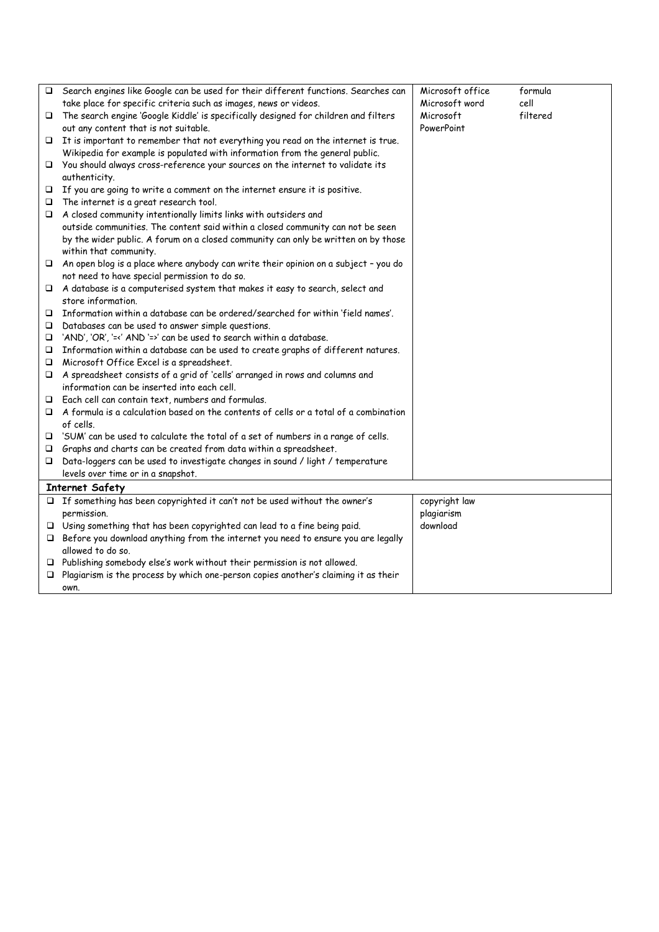| □      | Search engines like Google can be used for their different functions. Searches can         | Microsoft office | formula  |
|--------|--------------------------------------------------------------------------------------------|------------------|----------|
|        | take place for specific criteria such as images, news or videos.                           | Microsoft word   | cell     |
| $\Box$ | The search engine 'Google Kiddle' is specifically designed for children and filters        | Microsoft        | filtered |
|        | out any content that is not suitable.                                                      | PowerPoint       |          |
|        | $\Box$ It is important to remember that not everything you read on the internet is true.   |                  |          |
|        | Wikipedia for example is populated with information from the general public.               |                  |          |
|        | $\Box$ You should always cross-reference your sources on the internet to validate its      |                  |          |
|        | authenticity.                                                                              |                  |          |
|        | $\Box$ If you are going to write a comment on the internet ensure it is positive.          |                  |          |
| □      | The internet is a great research tool.                                                     |                  |          |
| $\Box$ | A closed community intentionally limits links with outsiders and                           |                  |          |
|        | outside communities. The content said within a closed community can not be seen            |                  |          |
|        | by the wider public. A forum on a closed community can only be written on by those         |                  |          |
|        | within that community.                                                                     |                  |          |
| $\Box$ | An open blog is a place where anybody can write their opinion on a subject - you do        |                  |          |
|        | not need to have special permission to do so.                                              |                  |          |
|        | $\Box$ A database is a computerised system that makes it easy to search, select and        |                  |          |
|        | store information.                                                                         |                  |          |
| $\Box$ | Information within a database can be ordered/searched for within 'field names'.            |                  |          |
| □      | Databases can be used to answer simple questions.                                          |                  |          |
| □      | 'AND', 'OR', '=<' AND '=>' can be used to search within a database.                        |                  |          |
| □      | Information within a database can be used to create graphs of different natures.           |                  |          |
| $\Box$ | Microsoft Office Excel is a spreadsheet.                                                   |                  |          |
| □      | A spreadsheet consists of a grid of 'cells' arranged in rows and columns and               |                  |          |
|        | information can be inserted into each cell.                                                |                  |          |
| □      | Each cell can contain text, numbers and formulas.                                          |                  |          |
| □      | A formula is a calculation based on the contents of cells or a total of a combination      |                  |          |
|        | of cells.                                                                                  |                  |          |
| □      | 'SUM' can be used to calculate the total of a set of numbers in a range of cells.          |                  |          |
| □      | Graphs and charts can be created from data within a spreadsheet.                           |                  |          |
| □      | Data-loggers can be used to investigate changes in sound / light / temperature             |                  |          |
|        | levels over time or in a snapshot.                                                         |                  |          |
|        | <b>Internet Safety</b>                                                                     |                  |          |
|        | $\Box$ If something has been copyrighted it can't not be used without the owner's          | copyright law    |          |
|        | permission.                                                                                | plagiarism       |          |
|        | $\Box$ Using something that has been copyrighted can lead to a fine being paid.            | download         |          |
| $\Box$ | Before you download anything from the internet you need to ensure you are legally          |                  |          |
|        | allowed to do so.                                                                          |                  |          |
|        | $\Box$ Publishing somebody else's work without their permission is not allowed.            |                  |          |
|        | $\Box$ Plagiarism is the process by which one-person copies another's claiming it as their |                  |          |
|        | own.                                                                                       |                  |          |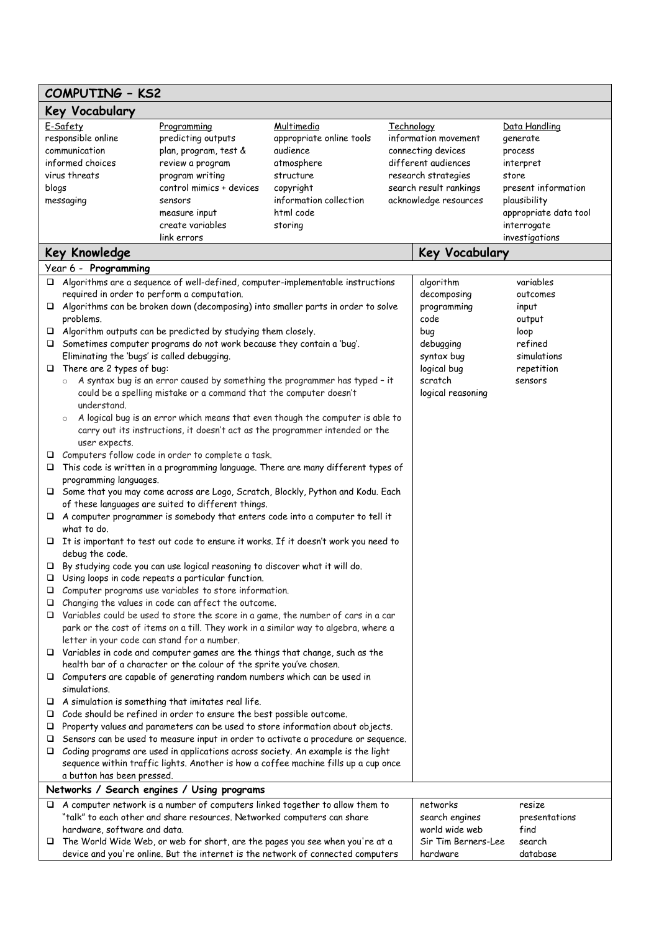| <b>COMPUTING - KS2</b> |                                                                                                                                    |                                                                                    |                                                                                         |                   |                        |                               |  |  |
|------------------------|------------------------------------------------------------------------------------------------------------------------------------|------------------------------------------------------------------------------------|-----------------------------------------------------------------------------------------|-------------------|------------------------|-------------------------------|--|--|
| <b>Key Vocabulary</b>  |                                                                                                                                    |                                                                                    |                                                                                         |                   |                        |                               |  |  |
|                        | E-Safety                                                                                                                           | Programming                                                                        | Multimedia                                                                              | <b>Technology</b> |                        | Data Handling                 |  |  |
|                        | responsible online                                                                                                                 | predicting outputs                                                                 | appropriate online tools                                                                |                   | information movement   | generate                      |  |  |
|                        | communication                                                                                                                      | plan, program, test &                                                              | audience                                                                                |                   | connecting devices     | process                       |  |  |
|                        | informed choices                                                                                                                   | review a program                                                                   | atmosphere                                                                              |                   | different audiences    | interpret                     |  |  |
|                        | virus threats                                                                                                                      | program writing                                                                    | structure                                                                               |                   | research strategies    | store                         |  |  |
| blogs                  |                                                                                                                                    | control mimics + devices                                                           | copyright                                                                               |                   | search result rankings | present information           |  |  |
|                        | messaging                                                                                                                          | sensors                                                                            | information collection                                                                  |                   | acknowledge resources  | plausibility                  |  |  |
|                        |                                                                                                                                    | measure input                                                                      | html code                                                                               |                   |                        | appropriate data tool         |  |  |
|                        |                                                                                                                                    | create variables<br>link errors                                                    | storing                                                                                 |                   |                        | interrogate<br>investigations |  |  |
|                        | <b>Key Knowledge</b>                                                                                                               |                                                                                    |                                                                                         |                   |                        | <b>Key Vocabulary</b>         |  |  |
|                        | Year 6 - Programming                                                                                                               |                                                                                    |                                                                                         |                   |                        |                               |  |  |
|                        |                                                                                                                                    |                                                                                    | $\Box$ Algorithms are a sequence of well-defined, computer-implementable instructions   |                   | algorithm              | variables                     |  |  |
|                        | required in order to perform a computation.                                                                                        |                                                                                    |                                                                                         |                   | decomposing            | outcomes                      |  |  |
|                        |                                                                                                                                    |                                                                                    | $\Box$ Algorithms can be broken down (decomposing) into smaller parts in order to solve |                   | programming            | input                         |  |  |
|                        | problems.                                                                                                                          |                                                                                    |                                                                                         |                   | code                   | output                        |  |  |
|                        |                                                                                                                                    | $\Box$ Algorithm outputs can be predicted by studying them closely.                |                                                                                         |                   | bug                    | loop                          |  |  |
|                        |                                                                                                                                    | $\Box$ Sometimes computer programs do not work because they contain a 'bug'.       |                                                                                         |                   | debugging              | refined                       |  |  |
|                        | Eliminating the 'bugs' is called debugging.                                                                                        |                                                                                    |                                                                                         |                   | syntax bug             | simulations                   |  |  |
| □                      | There are 2 types of bug:                                                                                                          |                                                                                    |                                                                                         |                   | logical bug            | repetition                    |  |  |
|                        | $\circ$                                                                                                                            | could be a spelling mistake or a command that the computer doesn't                 | A syntax bug is an error caused by something the programmer has typed - it              |                   | scratch                | sensors                       |  |  |
|                        | understand.                                                                                                                        |                                                                                    |                                                                                         |                   | logical reasoning      |                               |  |  |
|                        | $\circ$                                                                                                                            |                                                                                    | A logical bug is an error which means that even though the computer is able to          |                   |                        |                               |  |  |
|                        |                                                                                                                                    |                                                                                    | carry out its instructions, it doesn't act as the programmer intended or the            |                   |                        |                               |  |  |
|                        | user expects.                                                                                                                      |                                                                                    |                                                                                         |                   |                        |                               |  |  |
| □                      |                                                                                                                                    | Computers follow code in order to complete a task.                                 |                                                                                         |                   |                        |                               |  |  |
| □                      | This code is written in a programming language. There are many different types of                                                  |                                                                                    |                                                                                         |                   |                        |                               |  |  |
|                        | programming languages.                                                                                                             |                                                                                    |                                                                                         |                   |                        |                               |  |  |
|                        |                                                                                                                                    |                                                                                    | □ Some that you may come across are Logo, Scratch, Blockly, Python and Kodu. Each       |                   |                        |                               |  |  |
|                        | of these languages are suited to different things.                                                                                 |                                                                                    |                                                                                         |                   |                        |                               |  |  |
|                        | $\Box$ A computer programmer is somebody that enters code into a computer to tell it                                               |                                                                                    |                                                                                         |                   |                        |                               |  |  |
|                        | what to do.                                                                                                                        |                                                                                    |                                                                                         |                   |                        |                               |  |  |
| □                      |                                                                                                                                    |                                                                                    | It is important to test out code to ensure it works. If it doesn't work you need to     |                   |                        |                               |  |  |
|                        | debug the code.                                                                                                                    |                                                                                    |                                                                                         |                   |                        |                               |  |  |
|                        |                                                                                                                                    | $\Box$ By studying code you can use logical reasoning to discover what it will do. |                                                                                         |                   |                        |                               |  |  |
| ❏                      |                                                                                                                                    | Using loops in code repeats a particular function.                                 |                                                                                         |                   |                        |                               |  |  |
| □                      |                                                                                                                                    | Computer programs use variables to store information.                              |                                                                                         |                   |                        |                               |  |  |
| □                      |                                                                                                                                    | Changing the values in code can affect the outcome.                                | Variables could be used to store the score in a game, the number of cars in a car       |                   |                        |                               |  |  |
| □                      |                                                                                                                                    |                                                                                    | park or the cost of items on a till. They work in a similar way to algebra, where a     |                   |                        |                               |  |  |
|                        |                                                                                                                                    |                                                                                    |                                                                                         |                   |                        |                               |  |  |
|                        | letter in your code can stand for a number.<br>$\Box$ Variables in code and computer games are the things that change, such as the |                                                                                    |                                                                                         |                   |                        |                               |  |  |
|                        |                                                                                                                                    | health bar of a character or the colour of the sprite you've chosen.               |                                                                                         |                   |                        |                               |  |  |
|                        |                                                                                                                                    | $\Box$ Computers are capable of generating random numbers which can be used in     |                                                                                         |                   |                        |                               |  |  |
|                        | simulations.                                                                                                                       |                                                                                    |                                                                                         |                   |                        |                               |  |  |
| □                      |                                                                                                                                    | A simulation is something that imitates real life.                                 |                                                                                         |                   |                        |                               |  |  |
| □                      |                                                                                                                                    | Code should be refined in order to ensure the best possible outcome.               |                                                                                         |                   |                        |                               |  |  |
| □                      |                                                                                                                                    |                                                                                    | Property values and parameters can be used to store information about objects.          |                   |                        |                               |  |  |
| □                      |                                                                                                                                    |                                                                                    | Sensors can be used to measure input in order to activate a procedure or sequence.      |                   |                        |                               |  |  |
|                        |                                                                                                                                    |                                                                                    | $\Box$ Coding programs are used in applications across society. An example is the light |                   |                        |                               |  |  |
|                        |                                                                                                                                    |                                                                                    | sequence within traffic lights. Another is how a coffee machine fills up a cup once     |                   |                        |                               |  |  |
|                        | a button has been pressed.                                                                                                         |                                                                                    |                                                                                         |                   |                        |                               |  |  |
|                        |                                                                                                                                    | Networks / Search engines / Using programs                                         |                                                                                         |                   |                        |                               |  |  |
| □                      |                                                                                                                                    |                                                                                    | A computer network is a number of computers linked together to allow them to            |                   | networks               | resize                        |  |  |
|                        |                                                                                                                                    | "talk" to each other and share resources. Networked computers can share            |                                                                                         |                   | search engines         | presentations                 |  |  |
|                        | hardware, software and data.                                                                                                       |                                                                                    |                                                                                         |                   | world wide web         | find                          |  |  |
| □                      |                                                                                                                                    |                                                                                    | The World Wide Web, or web for short, are the pages you see when you're at a            |                   | Sir Tim Berners-Lee    | search                        |  |  |
|                        |                                                                                                                                    |                                                                                    | device and you're online. But the internet is the network of connected computers        |                   | hardware               | database                      |  |  |